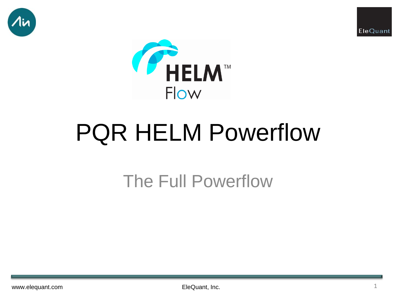





# PQR HELM Powerflow

## The Full Powerflow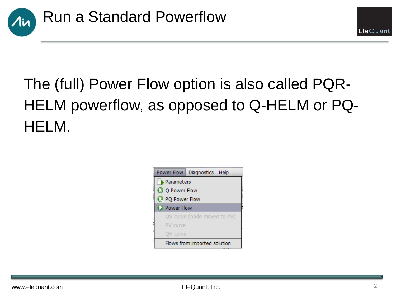

## The (full) Power Flow option is also called PQR-HELM powerflow, as opposed to Q-HELM or PQ-HELM.



EleQuant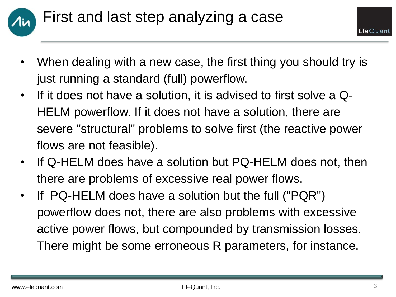

- When dealing with a new case, the first thing you should try is just running a standard (full) powerflow.
- If it does not have a solution, it is advised to first solve a Q-HELM powerflow. If it does not have a solution, there are severe "structural" problems to solve first (the reactive power flows are not feasible).
- If Q-HELM does have a solution but PQ-HELM does not, then there are problems of excessive real power flows.
- If PQ-HELM does have a solution but the full ("PQR") powerflow does not, there are also problems with excessive active power flows, but compounded by transmission losses. There might be some erroneous R parameters, for instance.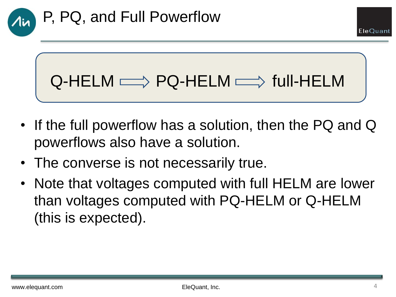## $Q$ -HELM  $\Longrightarrow$  PQ-HELM  $\Longrightarrow$  full-HELM

- If the full powerflow has a solution, then the PQ and Q powerflows also have a solution.
- The converse is not necessarily true.
- Note that voltages computed with full HELM are lower than voltages computed with PQ-HELM or Q-HELM (this is expected).

EleOuan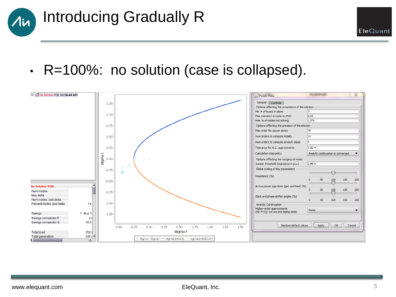

• R=100%: no solution (case is collapsed).

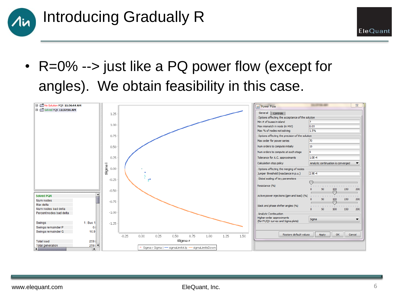

• R=0% --> just like a PQ power flow (except for angles). We obtain feasibility in this case.



EleQuant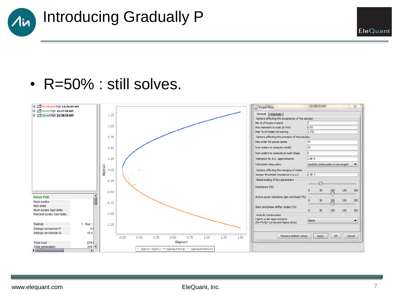

• R=50% : still solves.

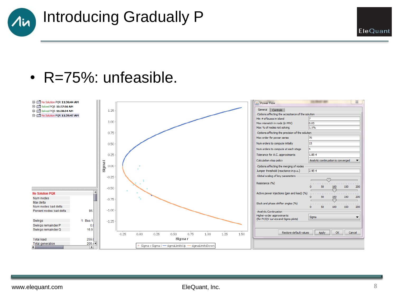

#### • R=75%: unfeasible.

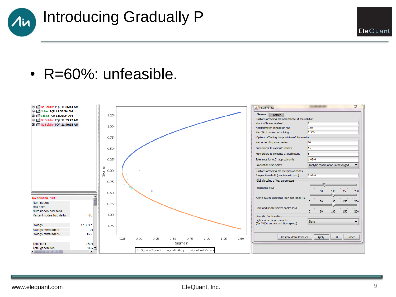

#### • R=60%: unfeasible.

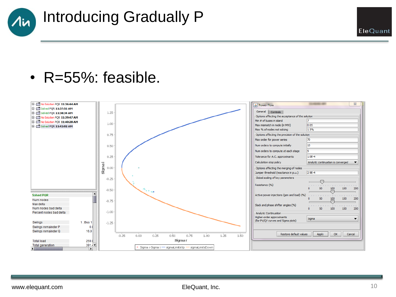

• R=55%: feasible.

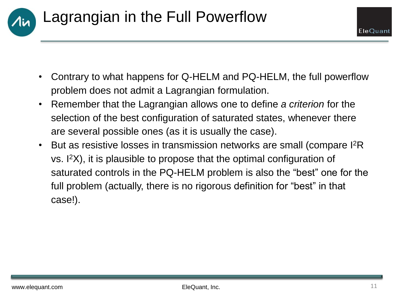

- Contrary to what happens for Q-HELM and PQ-HELM, the full powerflow problem does not admit a Lagrangian formulation.
- Remember that the Lagrangian allows one to define *a criterion* for the selection of the best configuration of saturated states, whenever there are several possible ones (as it is usually the case).
- But as resistive losses in transmission networks are small (compare I<sup>2</sup>R) vs. I<sup>2</sup>X), it is plausible to propose that the optimal configuration of saturated controls in the PQ-HELM problem is also the "best" one for the full problem (actually, there is no rigorous definition for "best" in that case!).